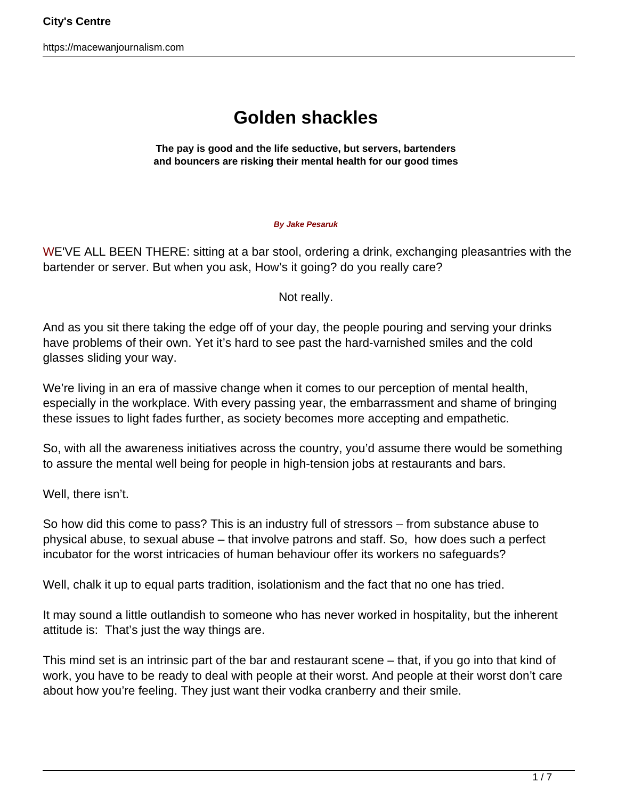## **Golden shackles**

**The pay is good and the life seductive, but servers, bartenders and bouncers are risking their mental health for our good times**

## **By Jake Pesaruk**

WE'VE ALL BEEN THERE: sitting at a bar stool, ordering a drink, exchanging pleasantries with the bartender or server. But when you ask, How's it going? do you really care?

Not really.

And as you sit there taking the edge off of your day, the people pouring and serving your drinks have problems of their own. Yet it's hard to see past the hard-varnished smiles and the cold glasses sliding your way.

We're living in an era of massive change when it comes to our perception of mental health, especially in the workplace. With every passing year, the embarrassment and shame of bringing these issues to light fades further, as society becomes more accepting and empathetic.

So, with all the awareness initiatives across the country, you'd assume there would be something to assure the mental well being for people in high-tension jobs at restaurants and bars.

Well, there isn't.

So how did this come to pass? This is an industry full of stressors – from substance abuse to physical abuse, to sexual abuse – that involve patrons and staff. So, how does such a perfect incubator for the worst intricacies of human behaviour offer its workers no safeguards?

Well, chalk it up to equal parts tradition, isolationism and the fact that no one has tried.

It may sound a little outlandish to someone who has never worked in hospitality, but the inherent attitude is: That's just the way things are.

This mind set is an intrinsic part of the bar and restaurant scene – that, if you go into that kind of work, you have to be ready to deal with people at their worst. And people at their worst don't care about how you're feeling. They just want their vodka cranberry and their smile.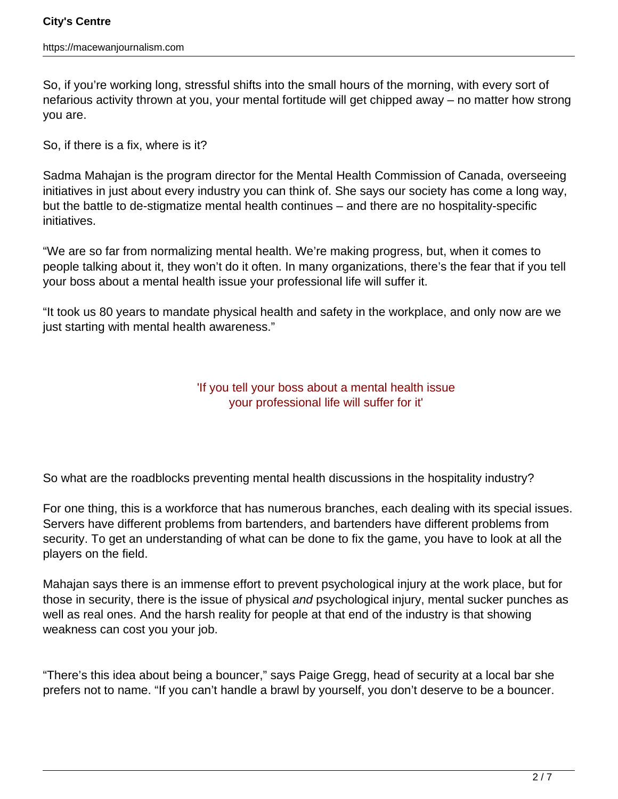So, if you're working long, stressful shifts into the small hours of the morning, with every sort of nefarious activity thrown at you, your mental fortitude will get chipped away – no matter how strong you are.

So, if there is a fix, where is it?

Sadma Mahajan is the program director for the Mental Health Commission of Canada, overseeing initiatives in just about every industry you can think of. She says our society has come a long way, but the battle to de-stigmatize mental health continues – and there are no hospitality-specific initiatives.

"We are so far from normalizing mental health. We're making progress, but, when it comes to people talking about it, they won't do it often. In many organizations, there's the fear that if you tell your boss about a mental health issue your professional life will suffer it.

"It took us 80 years to mandate physical health and safety in the workplace, and only now are we just starting with mental health awareness."

## 'If you tell your boss about a mental health issue your professional life will suffer for it'

So what are the roadblocks preventing mental health discussions in the hospitality industry?

For one thing, this is a workforce that has numerous branches, each dealing with its special issues. Servers have different problems from bartenders, and bartenders have different problems from security. To get an understanding of what can be done to fix the game, you have to look at all the players on the field.

Mahajan says there is an immense effort to prevent psychological injury at the work place, but for those in security, there is the issue of physical and psychological injury, mental sucker punches as well as real ones. And the harsh reality for people at that end of the industry is that showing weakness can cost you your job.

"There's this idea about being a bouncer," says Paige Gregg, head of security at a local bar she prefers not to name. "If you can't handle a brawl by yourself, you don't deserve to be a bouncer.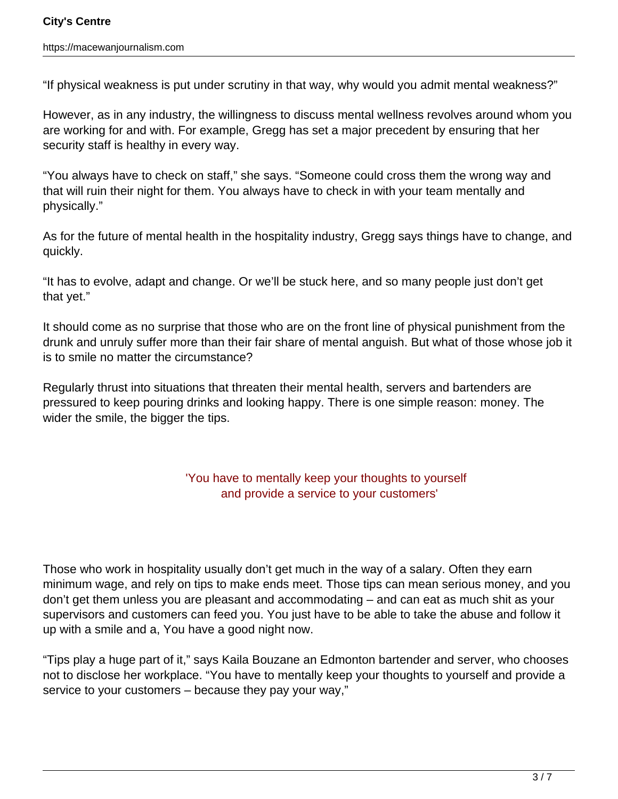"If physical weakness is put under scrutiny in that way, why would you admit mental weakness?"

However, as in any industry, the willingness to discuss mental wellness revolves around whom you are working for and with. For example, Gregg has set a major precedent by ensuring that her security staff is healthy in every way.

"You always have to check on staff," she says. "Someone could cross them the wrong way and that will ruin their night for them. You always have to check in with your team mentally and physically."

As for the future of mental health in the hospitality industry, Gregg says things have to change, and quickly.

"It has to evolve, adapt and change. Or we'll be stuck here, and so many people just don't get that yet."

It should come as no surprise that those who are on the front line of physical punishment from the drunk and unruly suffer more than their fair share of mental anguish. But what of those whose job it is to smile no matter the circumstance?

Regularly thrust into situations that threaten their mental health, servers and bartenders are pressured to keep pouring drinks and looking happy. There is one simple reason: money. The wider the smile, the bigger the tips.

## 'You have to mentally keep your thoughts to yourself and provide a service to your customers'

Those who work in hospitality usually don't get much in the way of a salary. Often they earn minimum wage, and rely on tips to make ends meet. Those tips can mean serious money, and you don't get them unless you are pleasant and accommodating – and can eat as much shit as your supervisors and customers can feed you. You just have to be able to take the abuse and follow it up with a smile and a, You have a good night now.

"Tips play a huge part of it," says Kaila Bouzane an Edmonton bartender and server, who chooses not to disclose her workplace. "You have to mentally keep your thoughts to yourself and provide a service to your customers – because they pay your way,"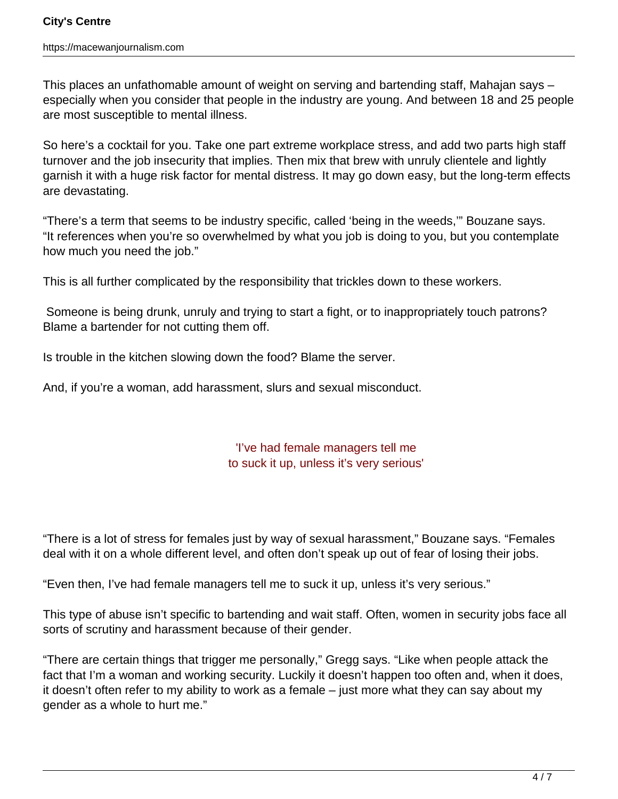This places an unfathomable amount of weight on serving and bartending staff, Mahajan says – especially when you consider that people in the industry are young. And between 18 and 25 people are most susceptible to mental illness.

So here's a cocktail for you. Take one part extreme workplace stress, and add two parts high staff turnover and the job insecurity that implies. Then mix that brew with unruly clientele and lightly garnish it with a huge risk factor for mental distress. It may go down easy, but the long-term effects are devastating.

"There's a term that seems to be industry specific, called 'being in the weeds,'" Bouzane says. "It references when you're so overwhelmed by what you job is doing to you, but you contemplate how much you need the job."

This is all further complicated by the responsibility that trickles down to these workers.

 Someone is being drunk, unruly and trying to start a fight, or to inappropriately touch patrons? Blame a bartender for not cutting them off.

Is trouble in the kitchen slowing down the food? Blame the server.

And, if you're a woman, add harassment, slurs and sexual misconduct.

'I've had female managers tell me to suck it up, unless it's very serious'

"There is a lot of stress for females just by way of sexual harassment," Bouzane says. "Females deal with it on a whole different level, and often don't speak up out of fear of losing their jobs.

"Even then, I've had female managers tell me to suck it up, unless it's very serious."

This type of abuse isn't specific to bartending and wait staff. Often, women in security jobs face all sorts of scrutiny and harassment because of their gender.

"There are certain things that trigger me personally," Gregg says. "Like when people attack the fact that I'm a woman and working security. Luckily it doesn't happen too often and, when it does, it doesn't often refer to my ability to work as a female – just more what they can say about my gender as a whole to hurt me."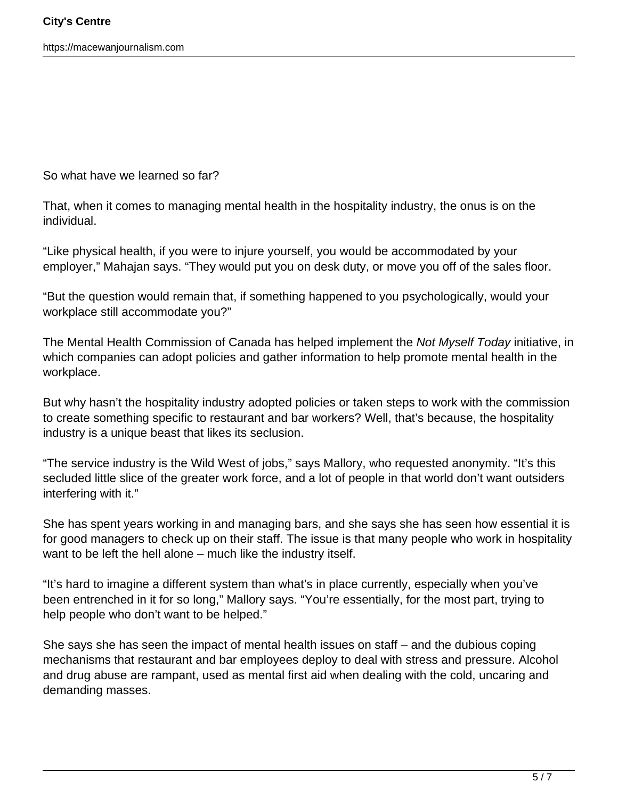So what have we learned so far?

That, when it comes to managing mental health in the hospitality industry, the onus is on the individual.

"Like physical health, if you were to injure yourself, you would be accommodated by your employer," Mahajan says. "They would put you on desk duty, or move you off of the sales floor.

"But the question would remain that, if something happened to you psychologically, would your workplace still accommodate you?"

The Mental Health Commission of Canada has helped implement the Not Myself Today initiative, in which companies can adopt policies and gather information to help promote mental health in the workplace.

But why hasn't the hospitality industry adopted policies or taken steps to work with the commission to create something specific to restaurant and bar workers? Well, that's because, the hospitality industry is a unique beast that likes its seclusion.

"The service industry is the Wild West of jobs," says Mallory, who requested anonymity. "It's this secluded little slice of the greater work force, and a lot of people in that world don't want outsiders interfering with it."

She has spent years working in and managing bars, and she says she has seen how essential it is for good managers to check up on their staff. The issue is that many people who work in hospitality want to be left the hell alone – much like the industry itself.

"It's hard to imagine a different system than what's in place currently, especially when you've been entrenched in it for so long," Mallory says. "You're essentially, for the most part, trying to help people who don't want to be helped."

She says she has seen the impact of mental health issues on staff – and the dubious coping mechanisms that restaurant and bar employees deploy to deal with stress and pressure. Alcohol and drug abuse are rampant, used as mental first aid when dealing with the cold, uncaring and demanding masses.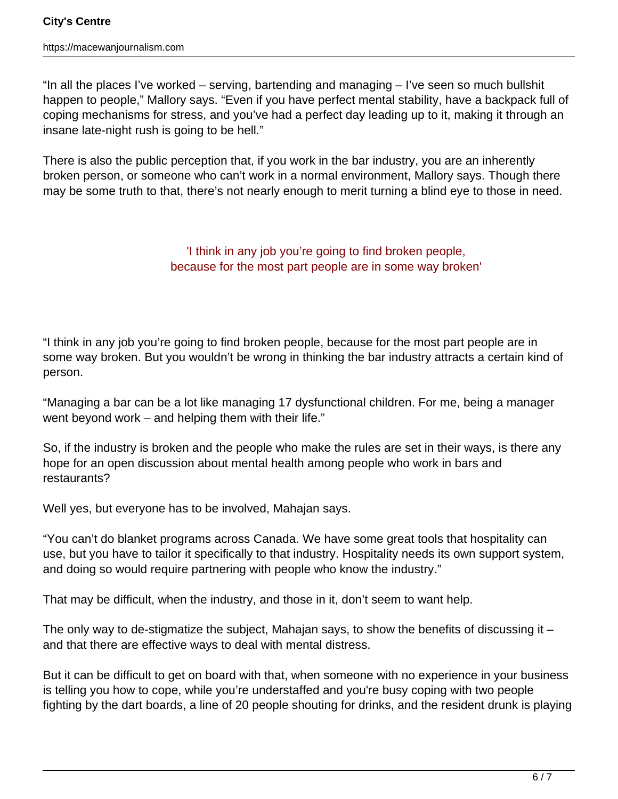"In all the places I've worked – serving, bartending and managing – I've seen so much bullshit happen to people," Mallory says. "Even if you have perfect mental stability, have a backpack full of coping mechanisms for stress, and you've had a perfect day leading up to it, making it through an insane late-night rush is going to be hell."

There is also the public perception that, if you work in the bar industry, you are an inherently broken person, or someone who can't work in a normal environment, Mallory says. Though there may be some truth to that, there's not nearly enough to merit turning a blind eye to those in need.

> 'I think in any job you're going to find broken people, because for the most part people are in some way broken'

"I think in any job you're going to find broken people, because for the most part people are in some way broken. But you wouldn't be wrong in thinking the bar industry attracts a certain kind of person.

"Managing a bar can be a lot like managing 17 dysfunctional children. For me, being a manager went beyond work – and helping them with their life."

So, if the industry is broken and the people who make the rules are set in their ways, is there any hope for an open discussion about mental health among people who work in bars and restaurants?

Well yes, but everyone has to be involved, Mahajan says.

"You can't do blanket programs across Canada. We have some great tools that hospitality can use, but you have to tailor it specifically to that industry. Hospitality needs its own support system, and doing so would require partnering with people who know the industry."

That may be difficult, when the industry, and those in it, don't seem to want help.

The only way to de-stigmatize the subject, Mahajan says, to show the benefits of discussing it – and that there are effective ways to deal with mental distress.

But it can be difficult to get on board with that, when someone with no experience in your business is telling you how to cope, while you're understaffed and you're busy coping with two people fighting by the dart boards, a line of 20 people shouting for drinks, and the resident drunk is playing